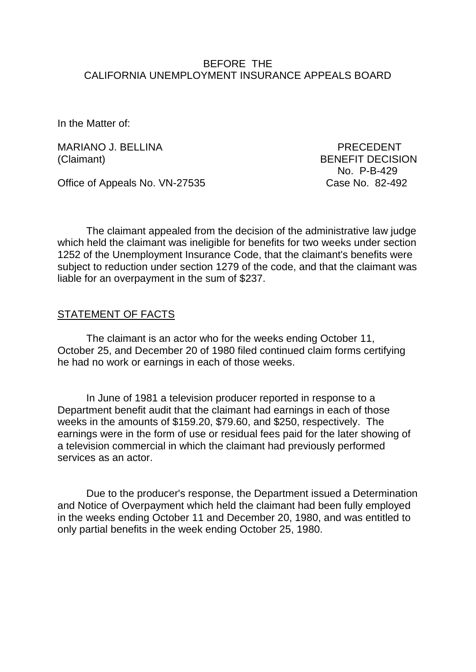# BEFORE THE CALIFORNIA UNEMPLOYMENT INSURANCE APPEALS BOARD

In the Matter of:

MARIANO J. BELLINA PRECEDENT (Claimant) BENEFIT DECISION

No. P-B-429

Office of Appeals No. VN-27535

The claimant appealed from the decision of the administrative law judge which held the claimant was ineligible for benefits for two weeks under section 1252 of the Unemployment Insurance Code, that the claimant's benefits were subject to reduction under section 1279 of the code, and that the claimant was liable for an overpayment in the sum of \$237.

### STATEMENT OF FACTS

The claimant is an actor who for the weeks ending October 11, October 25, and December 20 of 1980 filed continued claim forms certifying he had no work or earnings in each of those weeks.

In June of 1981 a television producer reported in response to a Department benefit audit that the claimant had earnings in each of those weeks in the amounts of \$159.20, \$79.60, and \$250, respectively. The earnings were in the form of use or residual fees paid for the later showing of a television commercial in which the claimant had previously performed services as an actor.

Due to the producer's response, the Department issued a Determination and Notice of Overpayment which held the claimant had been fully employed in the weeks ending October 11 and December 20, 1980, and was entitled to only partial benefits in the week ending October 25, 1980.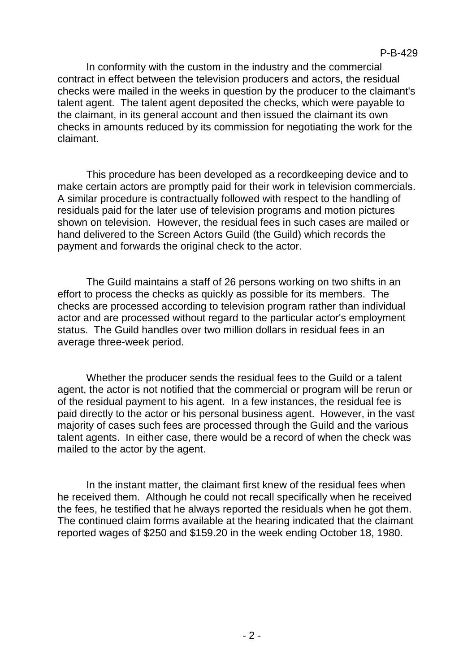In conformity with the custom in the industry and the commercial contract in effect between the television producers and actors, the residual checks were mailed in the weeks in question by the producer to the claimant's talent agent. The talent agent deposited the checks, which were payable to the claimant, in its general account and then issued the claimant its own checks in amounts reduced by its commission for negotiating the work for the claimant.

This procedure has been developed as a recordkeeping device and to make certain actors are promptly paid for their work in television commercials. A similar procedure is contractually followed with respect to the handling of residuals paid for the later use of television programs and motion pictures shown on television. However, the residual fees in such cases are mailed or hand delivered to the Screen Actors Guild (the Guild) which records the payment and forwards the original check to the actor.

The Guild maintains a staff of 26 persons working on two shifts in an effort to process the checks as quickly as possible for its members. The checks are processed according to television program rather than individual actor and are processed without regard to the particular actor's employment status. The Guild handles over two million dollars in residual fees in an average three-week period.

Whether the producer sends the residual fees to the Guild or a talent agent, the actor is not notified that the commercial or program will be rerun or of the residual payment to his agent. In a few instances, the residual fee is paid directly to the actor or his personal business agent. However, in the vast majority of cases such fees are processed through the Guild and the various talent agents. In either case, there would be a record of when the check was mailed to the actor by the agent.

In the instant matter, the claimant first knew of the residual fees when he received them. Although he could not recall specifically when he received the fees, he testified that he always reported the residuals when he got them. The continued claim forms available at the hearing indicated that the claimant reported wages of \$250 and \$159.20 in the week ending October 18, 1980.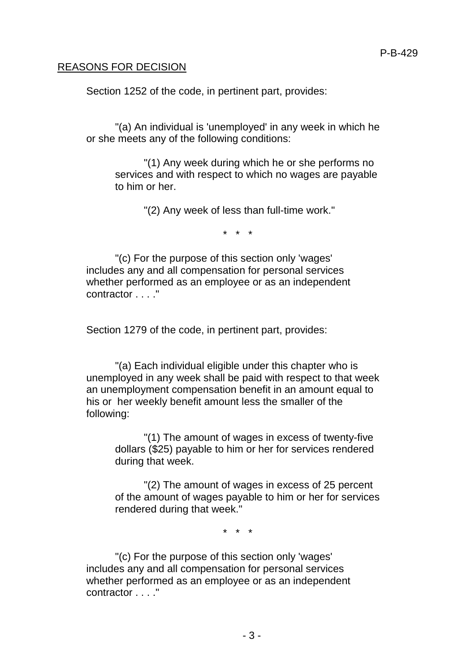### REASONS FOR DECISION

Section 1252 of the code, in pertinent part, provides:

"(a) An individual is 'unemployed' in any week in which he or she meets any of the following conditions:

"(1) Any week during which he or she performs no services and with respect to which no wages are payable to him or her.

"(2) Any week of less than full-time work."

\* \* \*

"(c) For the purpose of this section only 'wages' includes any and all compensation for personal services whether performed as an employee or as an independent contractor . . . ."

Section 1279 of the code, in pertinent part, provides:

"(a) Each individual eligible under this chapter who is unemployed in any week shall be paid with respect to that week an unemployment compensation benefit in an amount equal to his or her weekly benefit amount less the smaller of the following:

"(1) The amount of wages in excess of twenty-five dollars (\$25) payable to him or her for services rendered during that week.

"(2) The amount of wages in excess of 25 percent of the amount of wages payable to him or her for services rendered during that week."

\* \* \*

"(c) For the purpose of this section only 'wages' includes any and all compensation for personal services whether performed as an employee or as an independent contractor . . . ."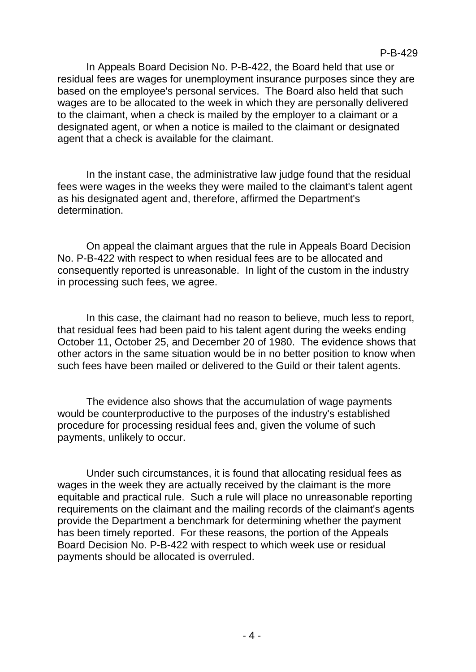In Appeals Board Decision No. P-B-422, the Board held that use or residual fees are wages for unemployment insurance purposes since they are based on the employee's personal services. The Board also held that such wages are to be allocated to the week in which they are personally delivered to the claimant, when a check is mailed by the employer to a claimant or a designated agent, or when a notice is mailed to the claimant or designated agent that a check is available for the claimant.

In the instant case, the administrative law judge found that the residual fees were wages in the weeks they were mailed to the claimant's talent agent as his designated agent and, therefore, affirmed the Department's determination.

On appeal the claimant argues that the rule in Appeals Board Decision No. P-B-422 with respect to when residual fees are to be allocated and consequently reported is unreasonable. In light of the custom in the industry in processing such fees, we agree.

In this case, the claimant had no reason to believe, much less to report, that residual fees had been paid to his talent agent during the weeks ending October 11, October 25, and December 20 of 1980. The evidence shows that other actors in the same situation would be in no better position to know when such fees have been mailed or delivered to the Guild or their talent agents.

The evidence also shows that the accumulation of wage payments would be counterproductive to the purposes of the industry's established procedure for processing residual fees and, given the volume of such payments, unlikely to occur.

Under such circumstances, it is found that allocating residual fees as wages in the week they are actually received by the claimant is the more equitable and practical rule. Such a rule will place no unreasonable reporting requirements on the claimant and the mailing records of the claimant's agents provide the Department a benchmark for determining whether the payment has been timely reported. For these reasons, the portion of the Appeals Board Decision No. P-B-422 with respect to which week use or residual payments should be allocated is overruled.